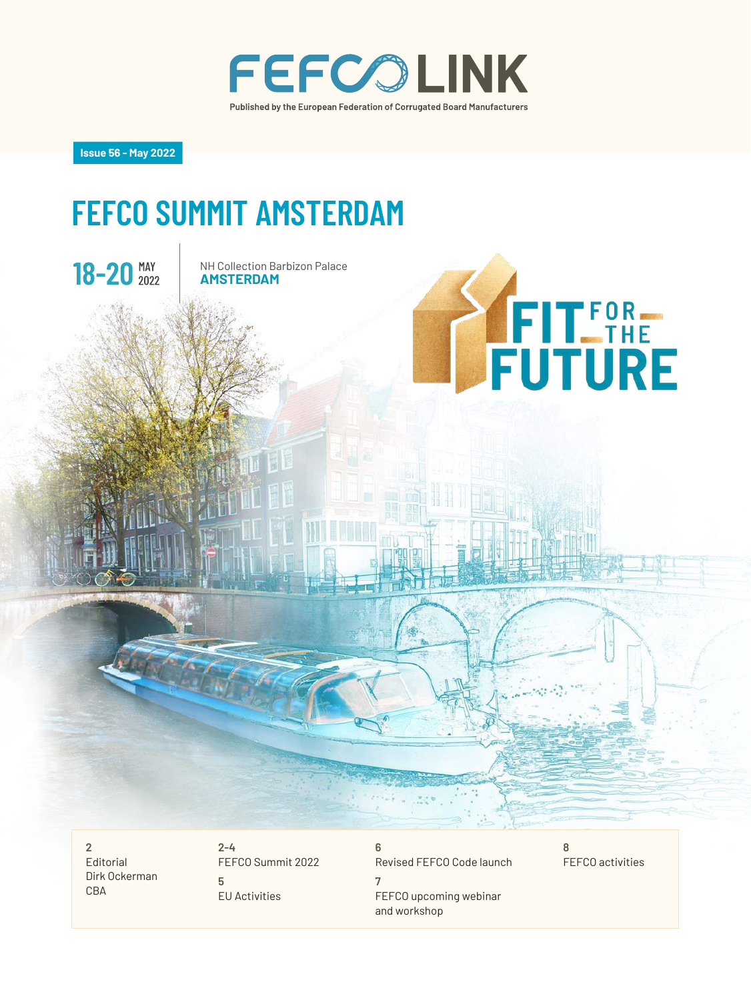

**Issue 56 - May 2022**

## **FEFCO SUMMIT AMSTERDAM**



**2** Editorial Dirk Ockerman CBA

**2-4** FEFCO Summit 2022 **5** EU Activities

**6** Revised FEFCO Code launch **7** FEFCO upcoming webinar and workshop

FEFCO activities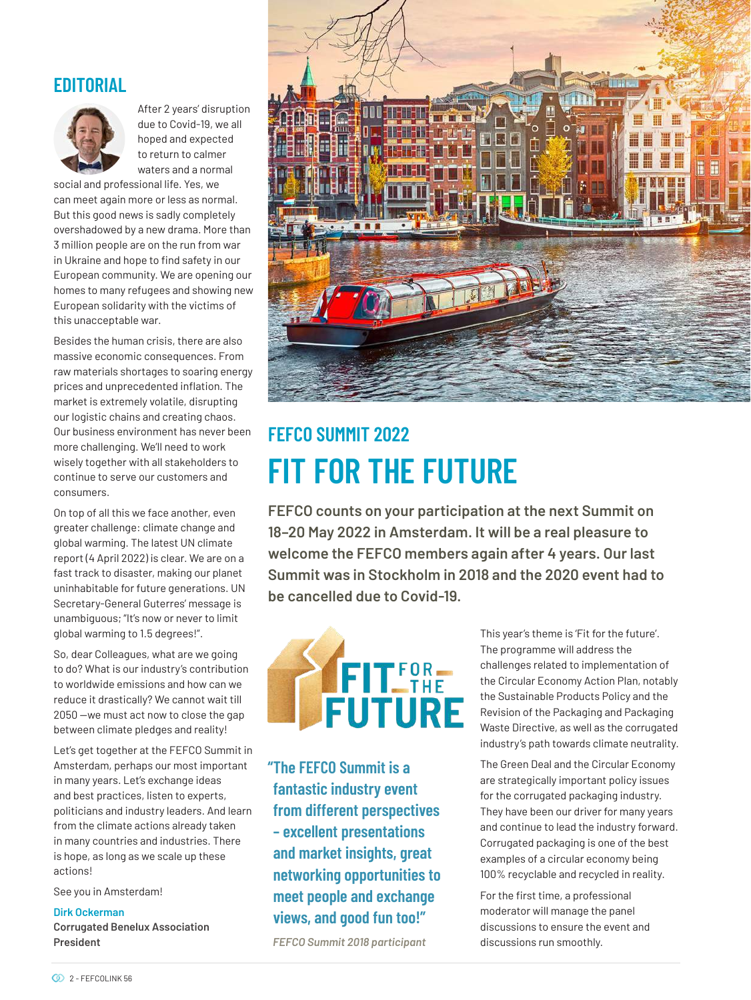### **EDITORIAL**



After 2 years' disruption due to Covid-19, we all hoped and expected to return to calmer waters and a normal

social and professional life. Yes, we can meet again more or less as normal. But this good news is sadly completely overshadowed by a new drama. More than 3 million people are on the run from war in Ukraine and hope to find safety in our European community. We are opening our homes to many refugees and showing new European solidarity with the victims of this unacceptable war.

Besides the human crisis, there are also massive economic consequences. From raw materials shortages to soaring energy prices and unprecedented inflation. The market is extremely volatile, disrupting our logistic chains and creating chaos. Our business environment has never been more challenging. We'll need to work wisely together with all stakeholders to continue to serve our customers and consumers.

On top of all this we face another, even greater challenge: climate change and global warming. The latest UN climate report (4 April 2022) is clear. We are on a fast track to disaster, making our planet uninhabitable for future generations. UN Secretary-General Guterres' message is unambiguous; "It's now or never to limit global warming to 1.5 degrees!".

So, dear Colleagues, what are we going to do? What is our industry's contribution to worldwide emissions and how can we reduce it drastically? We cannot wait till 2050 —we must act now to close the gap between climate pledges and reality!

Let's get together at the FEFCO Summit in Amsterdam, perhaps our most important in many years. Let's exchange ideas and best practices, listen to experts, politicians and industry leaders. And learn from the climate actions already taken in many countries and industries. There is hope, as long as we scale up these actions!

See you in Amsterdam!

#### **Dirk Ockerman**

**Corrugated Benelux Association President**



## **FEFCO SUMMIT 2022 FIT FOR THE FUTURE**

**FEFCO counts on your participation at the next Summit on 18–20 May 2022 in Amsterdam. It will be a real pleasure to welcome the FEFCO members again after 4 years. Our last Summit was in Stockholm in 2018 and the 2020 event had to be cancelled due to Covid-19.** 



**"The FEFCO Summit is a fantastic industry event from different perspectives – excellent presentations and market insights, great networking opportunities to meet people and exchange views, and good fun too!"** 

*FEFCO Summit 2018 participant*

This year's theme is 'Fit for the future'. The programme will address the challenges related to implementation of the Circular Economy Action Plan, notably the Sustainable Products Policy and the Revision of the Packaging and Packaging Waste Directive, as well as the corrugated industry's path towards climate neutrality.

The Green Deal and the Circular Economy are strategically important policy issues for the corrugated packaging industry. They have been our driver for many years and continue to lead the industry forward. Corrugated packaging is one of the best examples of a circular economy being 100% recyclable and recycled in reality.

For the first time, a professional moderator will manage the panel discussions to ensure the event and discussions run smoothly.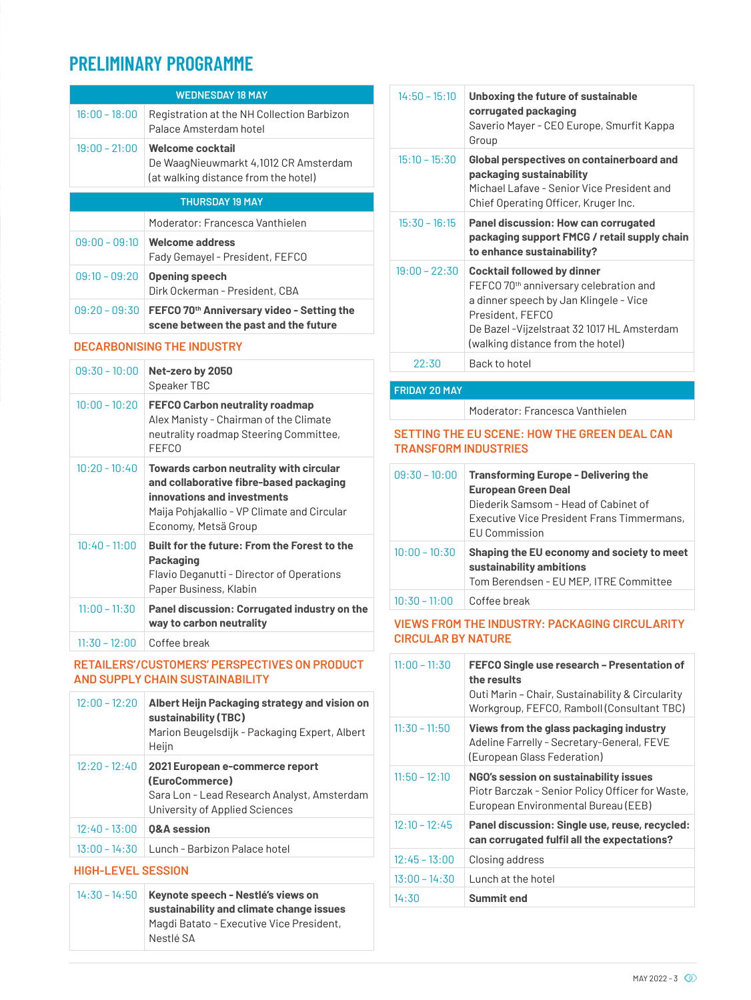### **PRELIMINARY PROGRAMME**

|                                   | <b>WEDNESDAY 18 MAY</b>                                                                                                                                                                  |
|-----------------------------------|------------------------------------------------------------------------------------------------------------------------------------------------------------------------------------------|
| $16:00 - 18:00$                   | Registration at the NH Collection Barbizon<br>Palace Amsterdam hotel                                                                                                                     |
| $19:00 - 21:00$                   | Welcome cocktail<br>De WaagNieuwmarkt 4,1012 CR Amsterdam<br>(at walking distance from the hotel)                                                                                        |
|                                   | <b>THURSDAY 19 MAY</b>                                                                                                                                                                   |
|                                   | Moderator: Francesca Vanthielen                                                                                                                                                          |
| $09:00 - 09:10$                   | <b>Welcome address</b><br>Fady Gemayel - President, FEFCO                                                                                                                                |
| $09:10 - 09:20$                   | <b>Opening speech</b><br>Dirk Ockerman - President, CBA                                                                                                                                  |
| $09:20 - 09:30$                   | FEFCO 70 <sup>th</sup> Anniversary video - Setting the<br>scene between the past and the future                                                                                          |
| <b>DECARBONISING THE INDUSTRY</b> |                                                                                                                                                                                          |
| $09:30 - 10:00$                   | Net-zero by 2050<br>Speaker TBC                                                                                                                                                          |
| $10:00 - 10:20$                   | <b>FEFCO Carbon neutrality roadmap</b><br>Alex Manisty - Chairman of the Climate<br>neutrality roadmap Steering Committee,<br><b>FFFCO</b>                                               |
| $10:20 - 10:40$                   | Towards carbon neutrality with circular<br>and collaborative fibre-based packaging<br>innovations and investments<br>Maija Pohjakallio - VP Climate and Circular<br>Economy, Metsä Group |
| $10:40 - 11:00$                   | Built for the future: From the Forest to the<br><b>Packaging</b><br>Flavio Deganutti - Director of Operations<br>Paper Business, Klabin                                                  |
| $11:00 - 11:30$                   | Panel discussion: Corrugated industry on the<br>way to carbon neutrality                                                                                                                 |

11:30 – 12:00 Coffee break

### **RETAILERS'/CUSTOMERS' PERSPECTIVES ON PRODUCT AND SUPPLY CHAIN SUSTAINABILITY**

| $12:00 - 12:20$ | Albert Heijn Packaging strategy and vision on<br>sustainability (TBC)<br>Marion Beugelsdijk - Packaging Expert, Albert<br>Heijn    |
|-----------------|------------------------------------------------------------------------------------------------------------------------------------|
| $12:20 - 12:40$ | 2021 European e-commerce report<br>(EuroCommerce)<br>Sara Lon - Lead Research Analyst, Amsterdam<br>University of Applied Sciences |
| $12:40 - 13:00$ | <b>0&amp;A</b> session                                                                                                             |
| $13:00 - 14:30$ | Lunch - Barbizon Palace hotel                                                                                                      |

#### **HIGH-LEVEL SESSION**

| $14:30 - 14:50$ Keynote speech - Nestlé's views on<br>sustainability and climate change issues |
|------------------------------------------------------------------------------------------------|
| Magdi Batato - Executive Vice President,<br>Nestlé SA                                          |

| $14:50 - 15:10$ | Unboxing the future of sustainable<br>corrugated packaging<br>Saverio Mayer - CEO Europe, Smurfit Kappa<br>Group                                                                                                                |
|-----------------|---------------------------------------------------------------------------------------------------------------------------------------------------------------------------------------------------------------------------------|
| $15:10 - 15:30$ | <b>Global perspectives on containerboard and</b><br>packaging sustainability<br>Michael Lafave - Senior Vice President and<br>Chief Operating Officer, Kruger Inc.                                                              |
| $15:30 - 16:15$ | Panel discussion: How can corrugated<br>packaging support FMCG / retail supply chain<br>to enhance sustainability?                                                                                                              |
| $19:00 - 22:30$ | <b>Cocktail followed by dinner</b><br>FEFCO 70th anniversary celebration and<br>a dinner speech by Jan Klingele - Vice<br>President, FEFCO<br>De Bazel - Vijzelstraat 32 1017 HL Amsterdam<br>(walking distance from the hotel) |
| 22:30           | Back to hotel                                                                                                                                                                                                                   |

### **FRIDAY 20 MAY**

Moderator: Francesca Vanthielen

### **SETTING THE EU SCENE: HOW THE GREEN DEAL CAN TRANSFORM INDUSTRIES**

| $09:30 - 10:00$ | <b>Transforming Europe - Delivering the</b><br><b>European Green Deal</b><br>Diederik Samsom - Head of Cabinet of<br>Executive Vice President Frans Timmermans,<br><b>EU Commission</b> |
|-----------------|-----------------------------------------------------------------------------------------------------------------------------------------------------------------------------------------|
| $10:00 - 10:30$ | Shaping the EU economy and society to meet<br>sustainability ambitions<br>Tom Berendsen - EU MEP, ITRE Committee                                                                        |
| $10:30 - 11:00$ | Coffee break                                                                                                                                                                            |

### **VIEWS FROM THE INDUSTRY: PACKAGING CIRCULARITY CIRCULAR BY NATURE**

| $11:00 - 11:30$ | FEFCO Single use research - Presentation of<br>the results<br>Outi Marin - Chair, Sustainability & Circularity<br>Workgroup, FEFCO, Ramboll (Consultant TBC) |
|-----------------|--------------------------------------------------------------------------------------------------------------------------------------------------------------|
| $11:30 - 11:50$ | Views from the glass packaging industry<br>Adeline Farrelly - Secretary-General, FEVE<br>(European Glass Federation)                                         |
| $11:50 - 12:10$ | NGO's session on sustainability issues<br>Piotr Barczak - Senior Policy Officer for Waste,<br>European Environmental Bureau (EEB)                            |
| $12:10 - 12:45$ | Panel discussion: Single use, reuse, recycled:<br>can corrugated fulfil all the expectations?                                                                |
| $12:45 - 13:00$ | Closing address                                                                                                                                              |
| $13:00 - 14:30$ | Lunch at the hotel                                                                                                                                           |
| 14:30           | Summit end                                                                                                                                                   |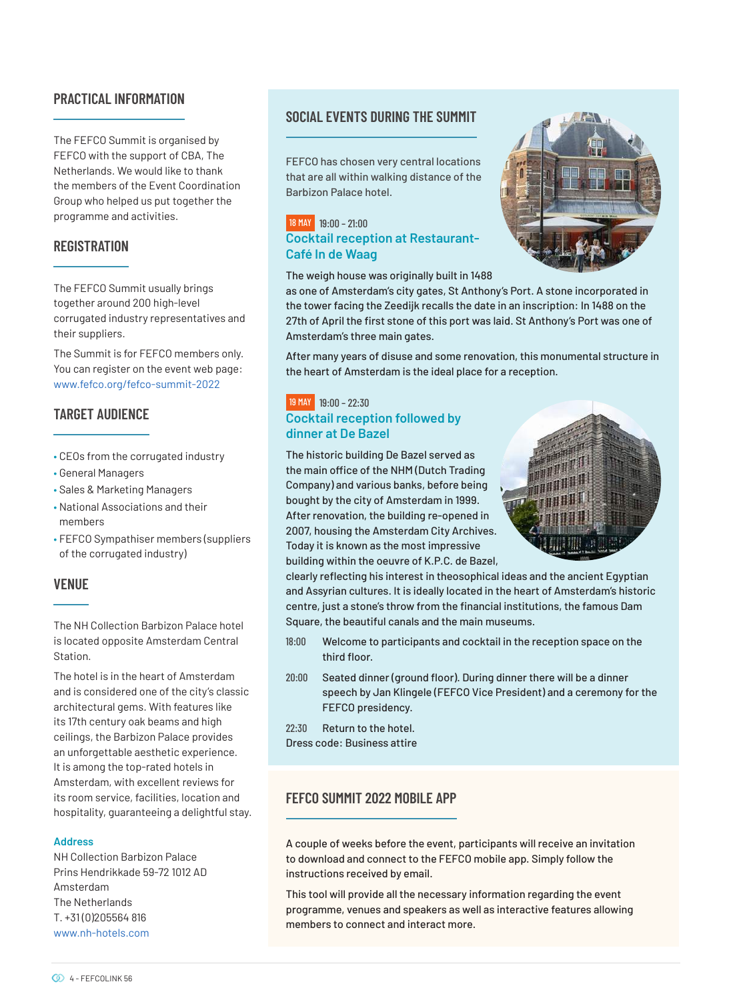### **PRACTICAL INFORMATION**

The FEFCO Summit is organised by FEFCO with the support of CBA, The Netherlands. We would like to thank the members of the Event Coordination Group who helped us put together the programme and activities.

### **REGISTRATION**

The FEFCO Summit usually brings together around 200 high-level corrugated industry representatives and their suppliers.

The Summit is for FEFCO members only. You can register on the event web page: www.fefco.org/fefco-summit-2022

### **TARGET AUDIENCE**

- CEOs from the corrugated industry
- General Managers
- Sales & Marketing Managers
- National Associations and their members
- FEFCO Sympathiser members (suppliers of the corrugated industry)

### **VENUE**

The NH Collection Barbizon Palace hotel is located opposite Amsterdam Central Station.

The hotel is in the heart of Amsterdam and is considered one of the city's classic architectural gems. With features like its 17th century oak beams and high ceilings, the Barbizon Palace provides an unforgettable aesthetic experience. It is among the top-rated hotels in Amsterdam, with excellent reviews for its room service, facilities, location and hospitality, guaranteeing a delightful stay.

#### **Address**

NH Collection Barbizon Palace Prins Hendrikkade 59-72 1012 AD Amsterdam The Netherlands T. +31 (0)205564 816 www.nh-hotels.com

### **SOCIAL EVENTS DURING THE SUMMIT**

FEFCO has chosen very central locations that are all within walking distance of the Barbizon Palace hotel.

### 18 MAY19:00 – 21:00 **Cocktail reception at Restaurant-Café In de Waag**

The weigh house was originally built in 1488



After many years of disuse and some renovation, this monumental structure in the heart of Amsterdam is the ideal place for a reception.

### 19 MAY19:00 – 22:30 **Cocktail reception followed by dinner at De Bazel**

Amsterdam's three main gates.

The historic building De Bazel served as the main office of the NHM (Dutch Trading Company) and various banks, before being bought by the city of Amsterdam in 1999. After renovation, the building re-opened in 2007, housing the Amsterdam City Archives. Today it is known as the most impressive building within the oeuvre of K.P.C. de Bazel,



clearly reflecting his interest in theosophical ideas and the ancient Egyptian and Assyrian cultures. It is ideally located in the heart of Amsterdam's historic centre, just a stone's throw from the financial institutions, the famous Dam Square, the beautiful canals and the main museums.

- 18:00 Welcome to participants and cocktail in the reception space on the third floor.
- 20:00 Seated dinner (ground floor). During dinner there will be a dinner speech by Jan Klingele (FEFCO Vice President) and a ceremony for the FEFCO presidency.
- 22:30 Return to the hotel.
- Dress code: Business attire

### **FEFCO SUMMIT 2022 MOBILE APP**

A couple of weeks before the event, participants will receive an invitation to download and connect to the FEFCO mobile app. Simply follow the instructions received by email.

This tool will provide all the necessary information regarding the event programme, venues and speakers as well as interactive features allowing members to connect and interact more.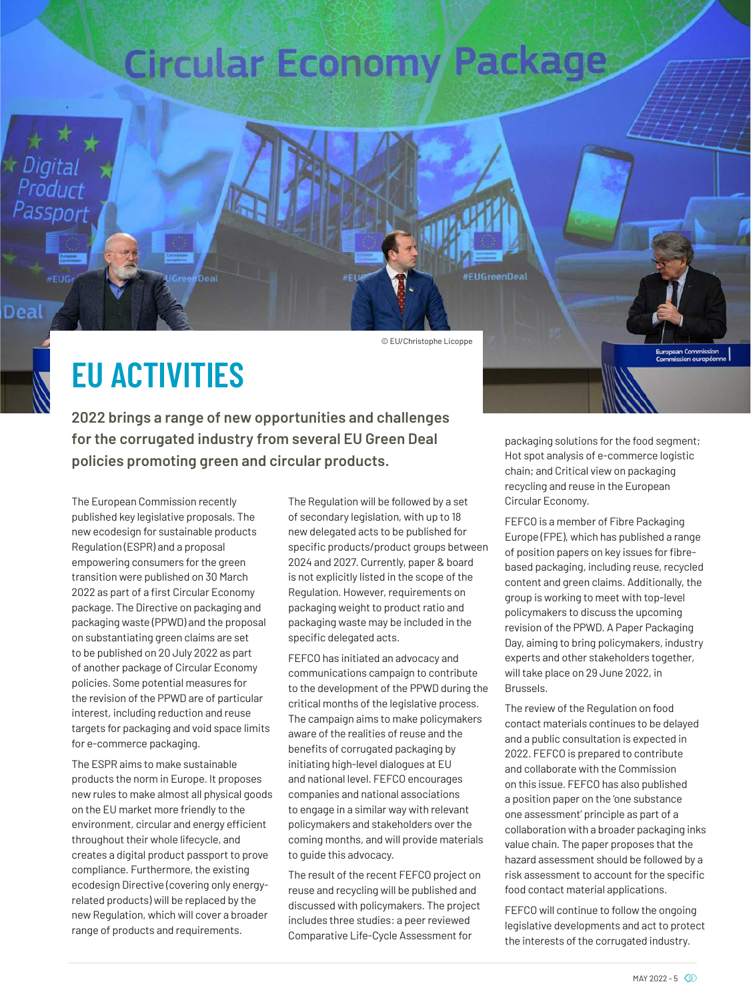# **Circular Economy Package**

© EU/Christophe Licoppe

**FUGreenBea** 

## **EU ACTIVITIES**

Product Passport

**Deal** 

**2022 brings a range of new opportunities and challenges for the corrugated industry from several EU Green Deal policies promoting green and circular products.**

The European Commission recently published key legislative proposals. The new ecodesign for sustainable products Regulation (ESPR) and a proposal empowering consumers for the green transition were published on 30 March 2022 as part of a first Circular Economy package. The Directive on packaging and packaging waste (PPWD) and the proposal on substantiating green claims are set to be published on 20 July 2022 as part of another package of Circular Economy policies. Some potential measures for the revision of the PPWD are of particular interest, including reduction and reuse targets for packaging and void space limits for e-commerce packaging.

The ESPR aims to make sustainable products the norm in Europe. It proposes new rules to make almost all physical goods on the EU market more friendly to the environment, circular and energy efficient throughout their whole lifecycle, and creates a digital product passport to prove compliance. Furthermore, the existing ecodesign Directive (covering only energyrelated products) will be replaced by the new Regulation, which will cover a broader range of products and requirements.

The Regulation will be followed by a set of secondary legislation, with up to 18 new delegated acts to be published for specific products/product groups between 2024 and 2027. Currently, paper & board is not explicitly listed in the scope of the Regulation. However, requirements on packaging weight to product ratio and packaging waste may be included in the specific delegated acts.

FEFCO has initiated an advocacy and communications campaign to contribute to the development of the PPWD during the critical months of the legislative process. The campaign aims to make policymakers aware of the realities of reuse and the benefits of corrugated packaging by initiating high-level dialogues at EU and national level. FEFCO encourages companies and national associations to engage in a similar way with relevant policymakers and stakeholders over the coming months, and will provide materials to guide this advocacy.

The result of the recent FEFCO project on reuse and recycling will be published and discussed with policymakers. The project includes three studies: a peer reviewed Comparative Life-Cycle Assessment for

packaging solutions for the food segment; Hot spot analysis of e-commerce logistic chain; and Critical view on packaging recycling and reuse in the European Circular Economy.

European Commission<br>Commission européer

FEFCO is a member of Fibre Packaging Europe (FPE), which has published a range of position papers on key issues for fibrebased packaging, including reuse, recycled content and green claims. Additionally, the group is working to meet with top-level policymakers to discuss the upcoming revision of the PPWD. A Paper Packaging Day, aiming to bring policymakers, industry experts and other stakeholders together, will take place on 29 June 2022, in Brussels.

The review of the Regulation on food contact materials continues to be delayed and a public consultation is expected in 2022. FEFCO is prepared to contribute and collaborate with the Commission on this issue. FEFCO has also published a position paper on the 'one substance one assessment' principle as part of a collaboration with a broader packaging inks value chain. The paper proposes that the hazard assessment should be followed by a risk assessment to account for the specific food contact material applications.

FEFCO will continue to follow the ongoing legislative developments and act to protect the interests of the corrugated industry.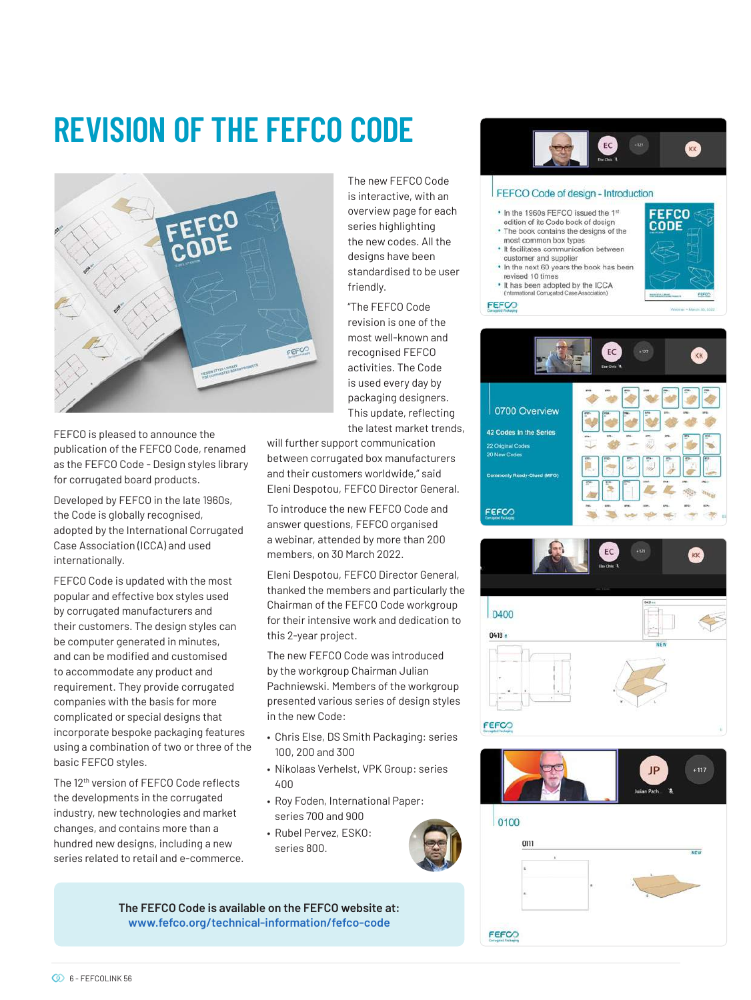## **REVISION OF THE FEFCO CODE**



FEFCO is pleased to announce the publication of the FEFCO Code, renamed as the FEFCO Code - Design styles library for corrugated board products.

Developed by FEFCO in the late 1960s, the Code is globally recognised, adopted by the International Corrugated Case Association (ICCA) and used internationally.

FEFCO Code is updated with the most popular and effective box styles used by corrugated manufacturers and their customers. The design styles can be computer generated in minutes, and can be modified and customised to accommodate any product and requirement. They provide corrugated companies with the basis for more complicated or special designs that incorporate bespoke packaging features using a combination of two or three of the basic FEFCO styles.

The 12th version of FEFCO Code reflects the developments in the corrugated industry, new technologies and market changes, and contains more than a hundred new designs, including a new series related to retail and e-commerce. The new FEFCO Code is interactive, with an overview page for each series highlighting the new codes. All the designs have been standardised to be user friendly.

"The FEFCO Code revision is one of the most well-known and recognised FEFCO activities. The Code is used every day by packaging designers. This update, reflecting the latest market trends,

will further support communication between corrugated box manufacturers and their customers worldwide," said Eleni Despotou, FEFCO Director General.

To introduce the new FEFCO Code and answer questions, FEFCO organised a webinar, attended by more than 200 members, on 30 March 2022.

Eleni Despotou, FEFCO Director General, thanked the members and particularly the Chairman of the FEFCO Code workgroup for their intensive work and dedication to this 2-year project.

The new FEFCO Code was introduced by the workgroup Chairman Julian Pachniewski. Members of the workgroup presented various series of design styles in the new Code:

- Chris Else, DS Smith Packaging: series 100, 200 and 300
- Nikolaas Verhelst, VPK Group: series 400
- Roy Foden, International Paper: series 700 and 900
- Rubel Pervez, ESKO: series 800.



**The FEFCO Code is available on the FEFCO website at: www.fefco.org/technical-information/fefco-code**





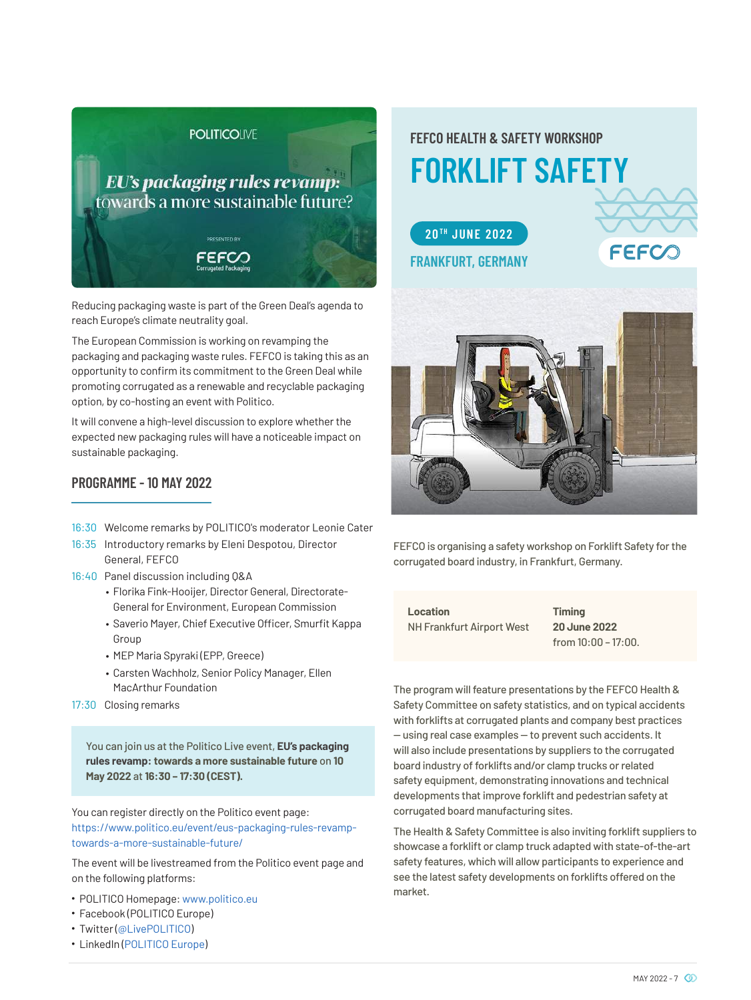### **POLITICOINE**

## **EU's packaging rules revamp:** towards a more sustainable future? **ODESENTED BY** FEFCO

Reducing packaging waste is part of the Green Deal's agenda to reach Europe's climate neutrality goal.

The European Commission is working on revamping the packaging and packaging waste rules. FEFCO is taking this as an opportunity to confirm its commitment to the Green Deal while promoting corrugated as a renewable and recyclable packaging option, by co-hosting an event with Politico.

It will convene a high-level discussion to explore whether the expected new packaging rules will have a noticeable impact on sustainable packaging.

### **PROGRAMME - 10 MAY 2022**

- 16:30 Welcome remarks by POLITICO's moderator Leonie Cater
- 16:35 Introductory remarks by Eleni Despotou, Director General, FEFCO
- 16:40 Panel discussion including Q&A
	- Florika Fink-Hooijer, Director General, Directorate-General for Environment, European Commission
	- Saverio Mayer, Chief Executive Officer, Smurfit Kappa Group
	- MEP Maria Spyraki (EPP, Greece)
	- Carsten Wachholz, Senior Policy Manager, Ellen MacArthur Foundation
- 17:30 Closing remarks

You can join us at the Politico Live event, **EU's packaging rules revamp: towards a more sustainable future** on **10 May 2022** at **16:30 – 17:30 (CEST).**

You can register directly on the Politico event page: https://www.politico.eu/event/eus-packaging-rules-revamptowards-a-more-sustainable-future/

The event will be livestreamed from the Politico event page and on the following platforms:

- POLITICO Homepage: www.politico.eu
- Facebook (POLITICO Europe)
- Twitter (@LivePOLITICO)
- LinkedIn (POLITICO Europe)

### **FORKLIFT SAFETY FEFCO HEALTH & SAFETY WORKSHOP**





FEFCO is organising a safety workshop on Forklift Safety for the corrugated board industry, in Frankfurt, Germany.

**Location** NH Frankfurt Airport West **Timing 20 June 2022**  from  $10:00 - 17:00$ .

The program will feature presentations by the FEFCO Health & Safety Committee on safety statistics, and on typical accidents with forklifts at corrugated plants and company best practices — using real case examples — to prevent such accidents. It will also include presentations by suppliers to the corrugated board industry of forklifts and/or clamp trucks or related safety equipment, demonstrating innovations and technical developments that improve forklift and pedestrian safety at corrugated board manufacturing sites.

The Health & Safety Committee is also inviting forklift suppliers to showcase a forklift or clamp truck adapted with state-of-the-art safety features, which will allow participants to experience and see the latest safety developments on forklifts offered on the market.